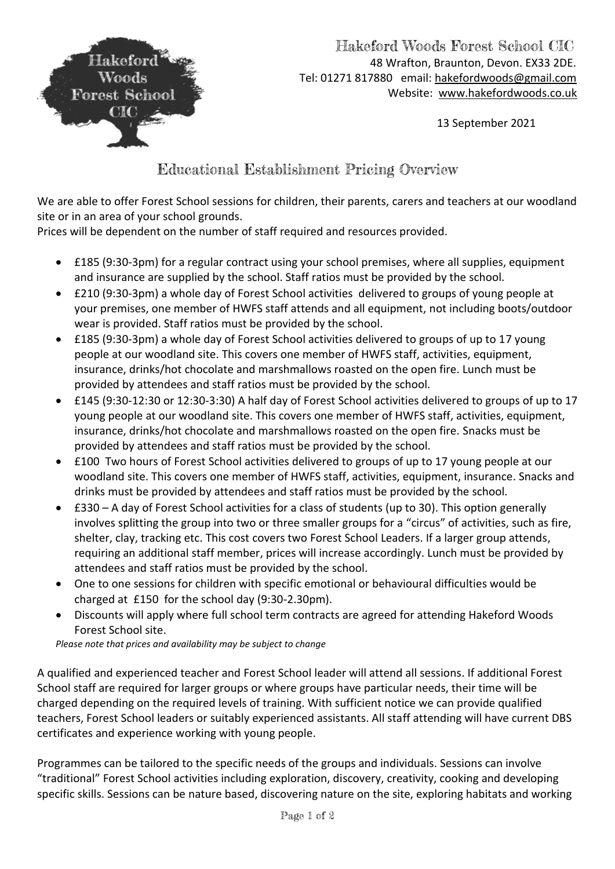

## Hakeford Woods Forest School CIC 48 Wrafton, Braunton, Devon. EX33 2DE. Tel: 01271 817880 email: [hakefordwoods@gmail.com](mailto:hakefordwoods@gmail.com) Website: [www.hakefordwoods.co.uk](http://www.hakefordwoods.co.uk/)

13 September 2021

## Educational Establishment Pricing Overview

We are able to offer Forest School sessions for children, their parents, carers and teachers at our woodland site or in an area of your school grounds.

Prices will be dependent on the number of staff required and resources provided.

- £185 (9:30-3pm) for a regular contract using your school premises, where all supplies, equipment and insurance are supplied by the school. Staff ratios must be provided by the school.
- £210 (9:30-3pm) a whole day of Forest School activities delivered to groups of young people at your premises, one member of HWFS staff attends and all equipment, not including boots/outdoor wear is provided. Staff ratios must be provided by the school.
- £185 (9:30-3pm) a whole day of Forest School activities delivered to groups of up to 17 young people at our woodland site. This covers one member of HWFS staff, activities, equipment, insurance, drinks/hot chocolate and marshmallows roasted on the open fire. Lunch must be provided by attendees and staff ratios must be provided by the school.
- £145 (9:30-12:30 or 12:30-3:30) A half day of Forest School activities delivered to groups of up to 17 young people at our woodland site. This covers one member of HWFS staff, activities, equipment, insurance, drinks/hot chocolate and marshmallows roasted on the open fire. Snacks must be provided by attendees and staff ratios must be provided by the school.
- £100 Two hours of Forest School activities delivered to groups of up to 17 young people at our woodland site. This covers one member of HWFS staff, activities, equipment, insurance. Snacks and drinks must be provided by attendees and staff ratios must be provided by the school.
- £330 A day of Forest School activities for a class of students (up to 30). This option generally involves splitting the group into two or three smaller groups for a "circus" of activities, such as fire, shelter, clay, tracking etc. This cost covers two Forest School Leaders. If a larger group attends, requiring an additional staff member, prices will increase accordingly. Lunch must be provided by attendees and staff ratios must be provided by the school.
- One to one sessions for children with specific emotional or behavioural difficulties would be charged at £150 for the school day (9:30-2.30pm).
- Discounts will apply where full school term contracts are agreed for attending Hakeford Woods Forest School site.

*Please note that prices and availability may be subject to change* 

A qualified and experienced teacher and Forest School leader will attend all sessions. If additional Forest School staff are required for larger groups or where groups have particular needs, their time will be charged depending on the required levels of training. With sufficient notice we can provide qualified teachers, Forest School leaders or suitably experienced assistants. All staff attending will have current DBS certificates and experience working with young people.

Programmes can be tailored to the specific needs of the groups and individuals. Sessions can involve "traditional" Forest School activities including exploration, discovery, creativity, cooking and developing specific skills. Sessions can be nature based, discovering nature on the site, exploring habitats and working